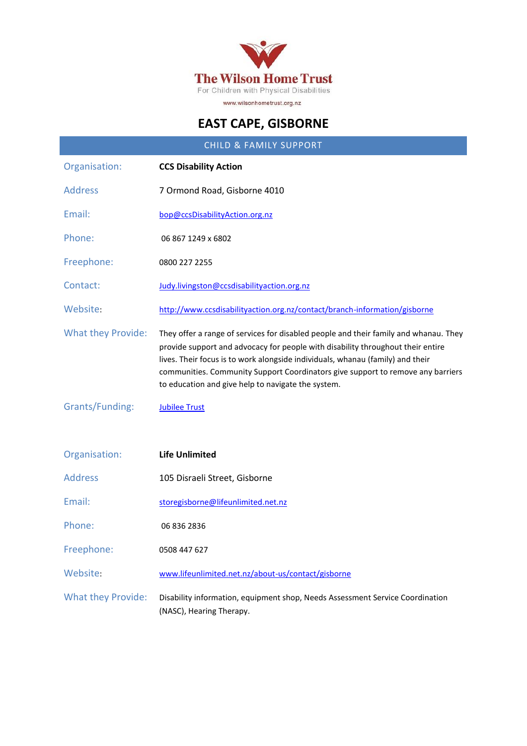

# **EAST CAPE, GISBORNE**

| <b>CHILD &amp; FAMILY SUPPORT</b> |                                                                                                                                                                                                                                                                                                                                                                                                    |
|-----------------------------------|----------------------------------------------------------------------------------------------------------------------------------------------------------------------------------------------------------------------------------------------------------------------------------------------------------------------------------------------------------------------------------------------------|
| Organisation:                     | <b>CCS Disability Action</b>                                                                                                                                                                                                                                                                                                                                                                       |
| <b>Address</b>                    | 7 Ormond Road, Gisborne 4010                                                                                                                                                                                                                                                                                                                                                                       |
| Email:                            | bop@ccsDisabilityAction.org.nz                                                                                                                                                                                                                                                                                                                                                                     |
| Phone:                            | 06 867 1249 x 6802                                                                                                                                                                                                                                                                                                                                                                                 |
| Freephone:                        | 0800 227 2255                                                                                                                                                                                                                                                                                                                                                                                      |
| Contact:                          | Judy.livingston@ccsdisabilityaction.org.nz                                                                                                                                                                                                                                                                                                                                                         |
| Website:                          | http://www.ccsdisabilityaction.org.nz/contact/branch-information/gisborne                                                                                                                                                                                                                                                                                                                          |
| <b>What they Provide:</b>         | They offer a range of services for disabled people and their family and whanau. They<br>provide support and advocacy for people with disability throughout their entire<br>lives. Their focus is to work alongside individuals, whanau (family) and their<br>communities. Community Support Coordinators give support to remove any barriers<br>to education and give help to navigate the system. |
| Grants/Funding:                   | <b>Jubilee Trust</b>                                                                                                                                                                                                                                                                                                                                                                               |
| Organisation:                     | <b>Life Unlimited</b>                                                                                                                                                                                                                                                                                                                                                                              |
| <b>Address</b>                    | 105 Disraeli Street, Gisborne                                                                                                                                                                                                                                                                                                                                                                      |
| Email:                            | storegisborne@lifeunlimited.net.nz                                                                                                                                                                                                                                                                                                                                                                 |
| Phone:                            | 06 836 2836                                                                                                                                                                                                                                                                                                                                                                                        |
| Freephone:                        | 0508 447 627                                                                                                                                                                                                                                                                                                                                                                                       |
| Website:                          | www.lifeunlimited.net.nz/about-us/contact/gisborne                                                                                                                                                                                                                                                                                                                                                 |
| <b>What they Provide:</b>         | Disability information, equipment shop, Needs Assessment Service Coordination<br>(NASC), Hearing Therapy.                                                                                                                                                                                                                                                                                          |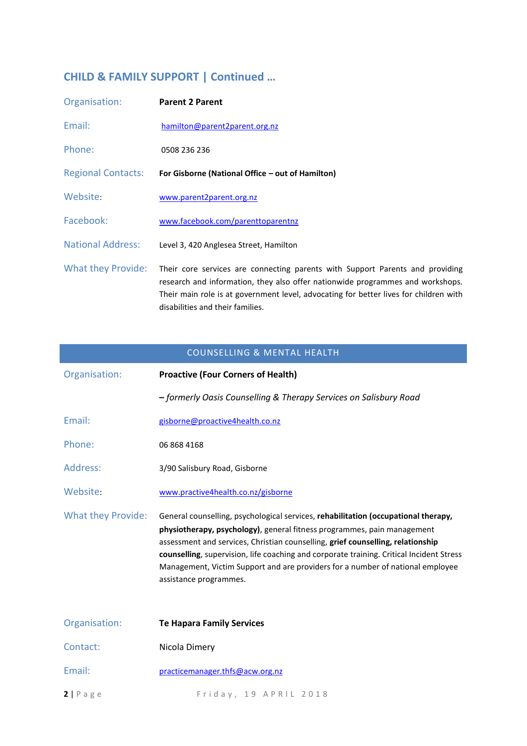# **CHILD & FAMILY SUPPORT | Continued …**

| Organisation:             | <b>Parent 2 Parent</b>                                                                                                                                                                                                                                                                       |
|---------------------------|----------------------------------------------------------------------------------------------------------------------------------------------------------------------------------------------------------------------------------------------------------------------------------------------|
| Email:                    | hamilton@parent2parent.org.nz                                                                                                                                                                                                                                                                |
| Phone:                    | 0508 236 236                                                                                                                                                                                                                                                                                 |
| <b>Regional Contacts:</b> | For Gisborne (National Office – out of Hamilton)                                                                                                                                                                                                                                             |
| Website:                  | www.parent2parent.org.nz                                                                                                                                                                                                                                                                     |
| Facebook:                 | www.facebook.com/parenttoparentnz                                                                                                                                                                                                                                                            |
| <b>National Address:</b>  | Level 3, 420 Anglesea Street, Hamilton                                                                                                                                                                                                                                                       |
| <b>What they Provide:</b> | Their core services are connecting parents with Support Parents and providing<br>research and information, they also offer nationwide programmes and workshops.<br>Their main role is at government level, advocating for better lives for children with<br>disabilities and their families. |

| <b>COUNSELLING &amp; MENTAL HEALTH</b> |                                                                                                                                                                                                                                                                                                                                                                                                                                                          |
|----------------------------------------|----------------------------------------------------------------------------------------------------------------------------------------------------------------------------------------------------------------------------------------------------------------------------------------------------------------------------------------------------------------------------------------------------------------------------------------------------------|
| Organisation:                          | <b>Proactive (Four Corners of Health)</b>                                                                                                                                                                                                                                                                                                                                                                                                                |
|                                        | - formerly Oasis Counselling & Therapy Services on Salisbury Road                                                                                                                                                                                                                                                                                                                                                                                        |
| Email:                                 | gisborne@proactive4health.co.nz                                                                                                                                                                                                                                                                                                                                                                                                                          |
| Phone:                                 | 06 868 4168                                                                                                                                                                                                                                                                                                                                                                                                                                              |
| Address:                               | 3/90 Salisbury Road, Gisborne                                                                                                                                                                                                                                                                                                                                                                                                                            |
| Website:                               | www.practive4health.co.nz/gisborne                                                                                                                                                                                                                                                                                                                                                                                                                       |
| <b>What they Provide:</b>              | General counselling, psychological services, rehabilitation (occupational therapy,<br>physiotherapy, psychology), general fitness programmes, pain management<br>assessment and services, Christian counselling, grief counselling, relationship<br>counselling, supervision, life coaching and corporate training. Critical Incident Stress<br>Management, Victim Support and are providers for a number of national employee<br>assistance programmes. |
| Organisation:                          | <b>Te Hapara Family Services</b>                                                                                                                                                                                                                                                                                                                                                                                                                         |
| Contact:                               | Nicola Dimery                                                                                                                                                                                                                                                                                                                                                                                                                                            |
| Email:                                 | practicemanager.thfs@acw.org.nz                                                                                                                                                                                                                                                                                                                                                                                                                          |
| $2   P \text{ a } g \text{ e}$         | Friday, 19 APRIL 2018                                                                                                                                                                                                                                                                                                                                                                                                                                    |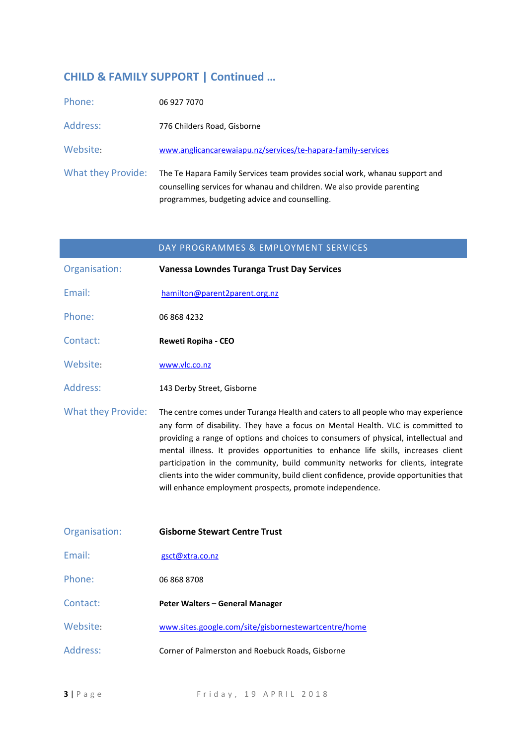# **CHILD & FAMILY SUPPORT | Continued …**

| Phone:             | 06 927 7070                                                                                                                                                                                             |
|--------------------|---------------------------------------------------------------------------------------------------------------------------------------------------------------------------------------------------------|
| Address:           | 776 Childers Road, Gisborne                                                                                                                                                                             |
| Website:           | www.anglicancarewaiapu.nz/services/te-hapara-family-services                                                                                                                                            |
| What they Provide: | The Te Hapara Family Services team provides social work, whanau support and<br>counselling services for whanau and children. We also provide parenting<br>programmes, budgeting advice and counselling. |

|                           | DAY PROGRAMMES & EMPLOYMENT SERVICES                                                                                                                                                                                                                                                                                                                                                                                                                                                                                                                                                      |
|---------------------------|-------------------------------------------------------------------------------------------------------------------------------------------------------------------------------------------------------------------------------------------------------------------------------------------------------------------------------------------------------------------------------------------------------------------------------------------------------------------------------------------------------------------------------------------------------------------------------------------|
| Organisation:             | Vanessa Lowndes Turanga Trust Day Services                                                                                                                                                                                                                                                                                                                                                                                                                                                                                                                                                |
| Email:                    | hamilton@parent2parent.org.nz                                                                                                                                                                                                                                                                                                                                                                                                                                                                                                                                                             |
| Phone:                    | 06 868 4232                                                                                                                                                                                                                                                                                                                                                                                                                                                                                                                                                                               |
| Contact:                  | Reweti Ropiha - CEO                                                                                                                                                                                                                                                                                                                                                                                                                                                                                                                                                                       |
| Website:                  | www.vlc.co.nz                                                                                                                                                                                                                                                                                                                                                                                                                                                                                                                                                                             |
| Address:                  | 143 Derby Street, Gisborne                                                                                                                                                                                                                                                                                                                                                                                                                                                                                                                                                                |
| <b>What they Provide:</b> | The centre comes under Turanga Health and caters to all people who may experience<br>any form of disability. They have a focus on Mental Health. VLC is committed to<br>providing a range of options and choices to consumers of physical, intellectual and<br>mental illness. It provides opportunities to enhance life skills, increases client<br>participation in the community, build community networks for clients, integrate<br>clients into the wider community, build client confidence, provide opportunities that<br>will enhance employment prospects, promote independence. |
| Organisation:             | <b>Gisborne Stewart Centre Trust</b>                                                                                                                                                                                                                                                                                                                                                                                                                                                                                                                                                      |
| Email:                    | gsct@xtra.co.nz                                                                                                                                                                                                                                                                                                                                                                                                                                                                                                                                                                           |
| Phone:                    | 06 868 8708                                                                                                                                                                                                                                                                                                                                                                                                                                                                                                                                                                               |
| Contact:                  | Peter Walters - General Manager                                                                                                                                                                                                                                                                                                                                                                                                                                                                                                                                                           |
| Website:                  | www.sites.google.com/site/gisbornestewartcentre/home                                                                                                                                                                                                                                                                                                                                                                                                                                                                                                                                      |
| Address:                  | Corner of Palmerston and Roebuck Roads, Gisborne                                                                                                                                                                                                                                                                                                                                                                                                                                                                                                                                          |

**3** | P a g e e e e e F r i d a y , 19 A P R I L 2018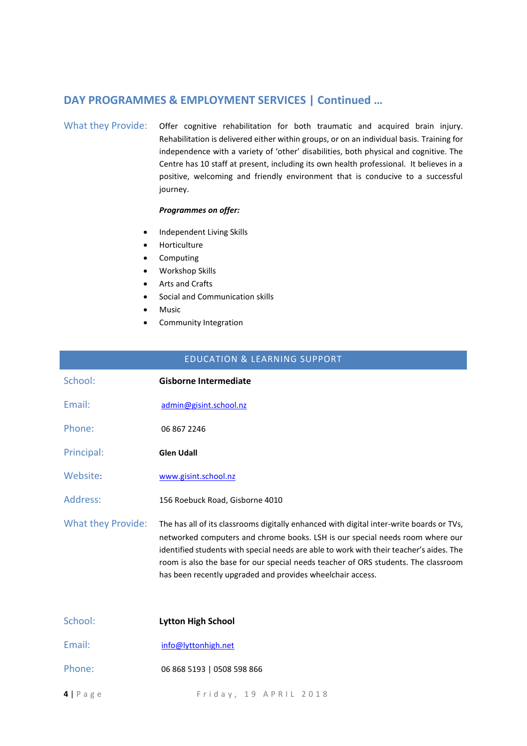### **DAY PROGRAMMES & EMPLOYMENT SERVICES | Continued …**

#### What they Provide: Offer cognitive rehabilitation for both traumatic and acquired brain injury. Rehabilitation is delivered either within groups, or on an individual basis. Training for independence with a variety of 'other' disabilities, both physical and cognitive. The Centre has 10 staff at present, including its own health professional. It believes in a positive, welcoming and friendly environment that is conducive to a successful journey.

#### *Programmes on offer:*

- Independent Living Skills
- **•** Horticulture
- Computing
- Workshop Skills
- Arts and Crafts
- Social and Communication skills
- Music
- Community Integration

| <b>EDUCATION &amp; LEARNING SUPPORT</b> |                                                                                                                                                                                                                                                                                                                                                                                                                          |
|-----------------------------------------|--------------------------------------------------------------------------------------------------------------------------------------------------------------------------------------------------------------------------------------------------------------------------------------------------------------------------------------------------------------------------------------------------------------------------|
| School:                                 | <b>Gisborne Intermediate</b>                                                                                                                                                                                                                                                                                                                                                                                             |
| Email:                                  | admin@gisint.school.nz                                                                                                                                                                                                                                                                                                                                                                                                   |
| Phone:                                  | 06 867 2246                                                                                                                                                                                                                                                                                                                                                                                                              |
| Principal:                              | <b>Glen Udall</b>                                                                                                                                                                                                                                                                                                                                                                                                        |
| Website:                                | www.gisint.school.nz                                                                                                                                                                                                                                                                                                                                                                                                     |
| Address:                                | 156 Roebuck Road, Gisborne 4010                                                                                                                                                                                                                                                                                                                                                                                          |
| <b>What they Provide:</b>               | The has all of its classrooms digitally enhanced with digital inter-write boards or TVs,<br>networked computers and chrome books. LSH is our special needs room where our<br>identified students with special needs are able to work with their teacher's aides. The<br>room is also the base for our special needs teacher of ORS students. The classroom<br>has been recently upgraded and provides wheelchair access. |
| School:                                 | <b>Lytton High School</b>                                                                                                                                                                                                                                                                                                                                                                                                |
| Email:                                  | info@lyttonhigh.net                                                                                                                                                                                                                                                                                                                                                                                                      |

- Phone: 06 868 5193 | 0508 598 866
- **4** | P a g e F rid a y , 19 A P R I L 2018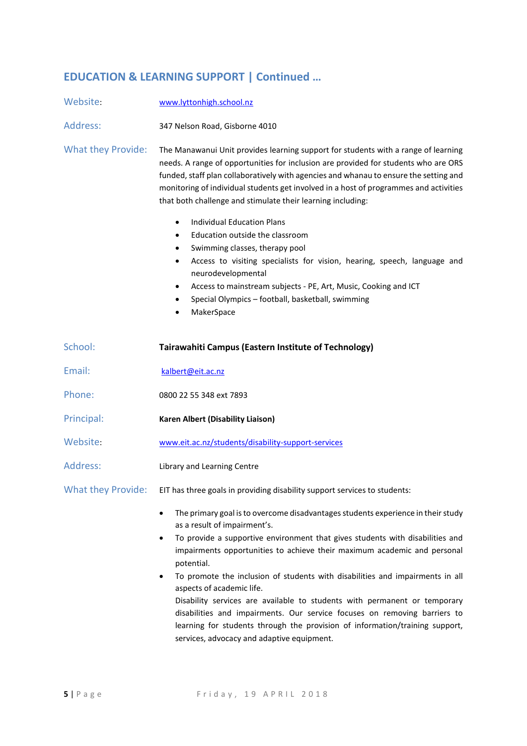# **EDUCATION & LEARNING SUPPORT | Continued …**

| Website:                  | www.lyttonhigh.school.nz                                                                                                                                                                                                                                                                                                                                                                                                                                                                                                                                                                                                                                                                               |
|---------------------------|--------------------------------------------------------------------------------------------------------------------------------------------------------------------------------------------------------------------------------------------------------------------------------------------------------------------------------------------------------------------------------------------------------------------------------------------------------------------------------------------------------------------------------------------------------------------------------------------------------------------------------------------------------------------------------------------------------|
| Address:                  | 347 Nelson Road, Gisborne 4010                                                                                                                                                                                                                                                                                                                                                                                                                                                                                                                                                                                                                                                                         |
| <b>What they Provide:</b> | The Manawanui Unit provides learning support for students with a range of learning<br>needs. A range of opportunities for inclusion are provided for students who are ORS<br>funded, staff plan collaboratively with agencies and whanau to ensure the setting and<br>monitoring of individual students get involved in a host of programmes and activities<br>that both challenge and stimulate their learning including:                                                                                                                                                                                                                                                                             |
|                           | <b>Individual Education Plans</b><br>$\bullet$<br>Education outside the classroom<br>$\bullet$<br>Swimming classes, therapy pool<br>$\bullet$<br>Access to visiting specialists for vision, hearing, speech, language and<br>$\bullet$<br>neurodevelopmental<br>Access to mainstream subjects - PE, Art, Music, Cooking and ICT<br>$\bullet$<br>Special Olympics - football, basketball, swimming<br>MakerSpace                                                                                                                                                                                                                                                                                        |
| School:                   | Tairawahiti Campus (Eastern Institute of Technology)                                                                                                                                                                                                                                                                                                                                                                                                                                                                                                                                                                                                                                                   |
| Email:                    | kalbert@eit.ac.nz                                                                                                                                                                                                                                                                                                                                                                                                                                                                                                                                                                                                                                                                                      |
| Phone:                    | 0800 22 55 348 ext 7893                                                                                                                                                                                                                                                                                                                                                                                                                                                                                                                                                                                                                                                                                |
| Principal:                | <b>Karen Albert (Disability Liaison)</b>                                                                                                                                                                                                                                                                                                                                                                                                                                                                                                                                                                                                                                                               |
| Website:                  | www.eit.ac.nz/students/disability-support-services                                                                                                                                                                                                                                                                                                                                                                                                                                                                                                                                                                                                                                                     |
| Address:                  | Library and Learning Centre                                                                                                                                                                                                                                                                                                                                                                                                                                                                                                                                                                                                                                                                            |
|                           | What they Provide: EIT has three goals in providing disability support services to students:                                                                                                                                                                                                                                                                                                                                                                                                                                                                                                                                                                                                           |
|                           | The primary goal is to overcome disadvantages students experience in their study<br>as a result of impairment's.<br>To provide a supportive environment that gives students with disabilities and<br>impairments opportunities to achieve their maximum academic and personal<br>potential.<br>To promote the inclusion of students with disabilities and impairments in all<br>٠<br>aspects of academic life.<br>Disability services are available to students with permanent or temporary<br>disabilities and impairments. Our service focuses on removing barriers to<br>learning for students through the provision of information/training support,<br>services, advocacy and adaptive equipment. |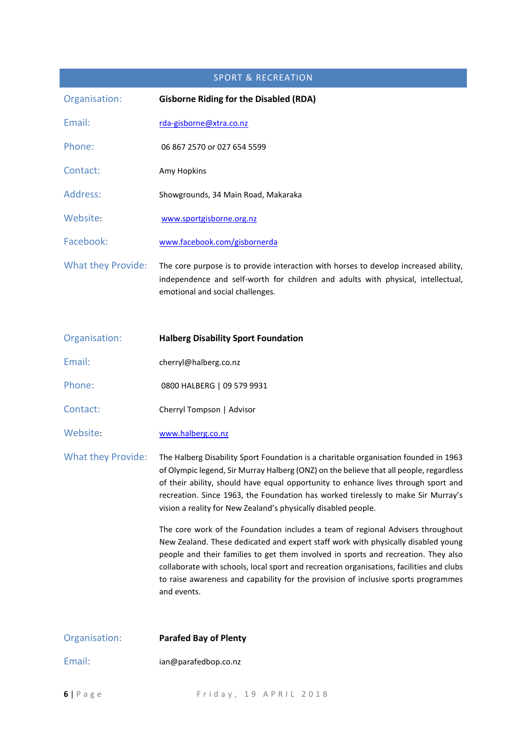| <b>SPORT &amp; RECREATION</b> |                                                                                                                                                                                                              |
|-------------------------------|--------------------------------------------------------------------------------------------------------------------------------------------------------------------------------------------------------------|
| Organisation:                 | <b>Gisborne Riding for the Disabled (RDA)</b>                                                                                                                                                                |
| Email:                        | rda-gisborne@xtra.co.nz                                                                                                                                                                                      |
| Phone:                        | 06 867 2570 or 027 654 5599                                                                                                                                                                                  |
| Contact:                      | Amy Hopkins                                                                                                                                                                                                  |
| Address:                      | Showgrounds, 34 Main Road, Makaraka                                                                                                                                                                          |
| Website:                      | www.sportgisborne.org.nz                                                                                                                                                                                     |
| Facebook:                     | www.facebook.com/gisbornerda                                                                                                                                                                                 |
| <b>What they Provide:</b>     | The core purpose is to provide interaction with horses to develop increased ability,<br>independence and self-worth for children and adults with physical, intellectual,<br>emotional and social challenges. |
| Organisation:                 | <b>Halberg Disability Sport Foundation</b>                                                                                                                                                                   |
| Email:                        | cherryl@halberg.co.nz                                                                                                                                                                                        |
| Phone:                        | 0800 HALBERG   09 579 9931                                                                                                                                                                                   |
| Contact:                      | Cherryl Tompson   Advisor                                                                                                                                                                                    |

Website: [www.halberg.co.nz](http://www.halberg.co.nz/)

What they Provide: The Halberg Disability Sport Foundation is a charitable organisation founded in 1963 of Olympic legend, Sir Murray Halberg (ONZ) on the believe that all people, regardless of their ability, should have equal opportunity to enhance lives through sport and recreation. Since 1963, the Foundation has worked tirelessly to make Sir Murray's vision a reality for New Zealand's physically disabled people.

> The core work of the Foundation includes a team of regional Advisers throughout New Zealand. These dedicated and expert staff work with physically disabled young people and their families to get them involved in sports and recreation. They also collaborate with schools, local sport and recreation organisations, facilities and clubs to raise awareness and capability for the provision of inclusive sports programmes and events.

| Organisation: | <b>Parafed Bay of Plenty</b> |
|---------------|------------------------------|
| Email:        | ian@parafedbop.co.nz         |
| $6$   P a g e | Friday, 19 APRIL 2018        |